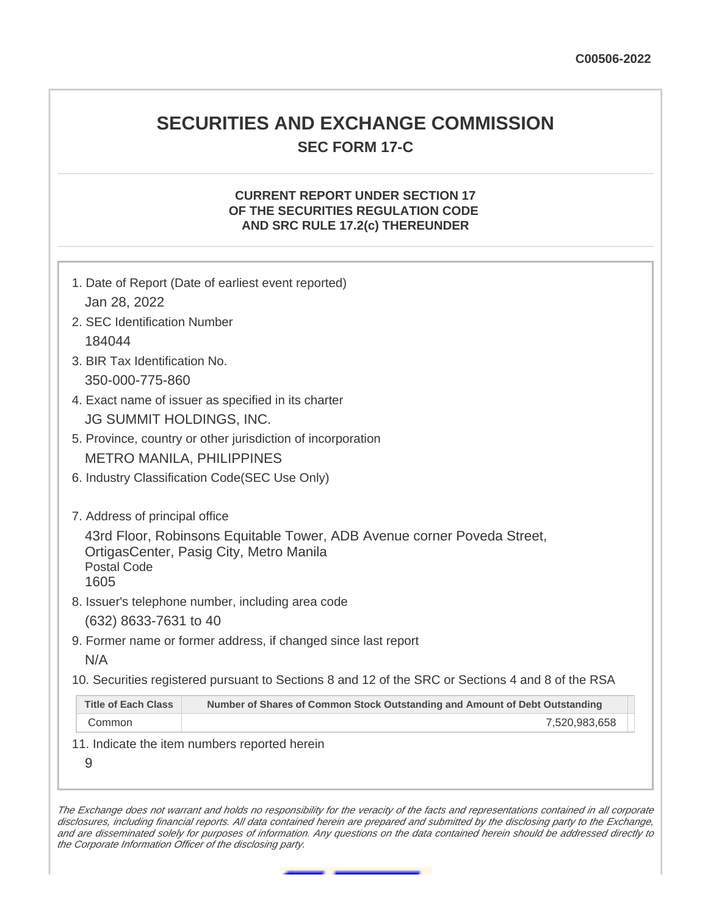# **SECURITIES AND EXCHANGE COMMISSION SEC FORM 17-C**

## **CURRENT REPORT UNDER SECTION 17 OF THE SECURITIES REGULATION CODE AND SRC RULE 17.2(c) THEREUNDER**

| 1. Date of Report (Date of earliest event reported)                                                       |  |  |  |  |  |
|-----------------------------------------------------------------------------------------------------------|--|--|--|--|--|
| Jan 28, 2022                                                                                              |  |  |  |  |  |
| 2. SEC Identification Number                                                                              |  |  |  |  |  |
| 184044                                                                                                    |  |  |  |  |  |
| 3. BIR Tax Identification No.                                                                             |  |  |  |  |  |
| 350-000-775-860                                                                                           |  |  |  |  |  |
| 4. Exact name of issuer as specified in its charter                                                       |  |  |  |  |  |
| JG SUMMIT HOLDINGS, INC.                                                                                  |  |  |  |  |  |
| 5. Province, country or other jurisdiction of incorporation                                               |  |  |  |  |  |
| <b>METRO MANILA, PHILIPPINES</b>                                                                          |  |  |  |  |  |
| 6. Industry Classification Code(SEC Use Only)                                                             |  |  |  |  |  |
|                                                                                                           |  |  |  |  |  |
| 7. Address of principal office                                                                            |  |  |  |  |  |
| 43rd Floor, Robinsons Equitable Tower, ADB Avenue corner Poveda Street,                                   |  |  |  |  |  |
| OrtigasCenter, Pasig City, Metro Manila<br><b>Postal Code</b>                                             |  |  |  |  |  |
| 1605                                                                                                      |  |  |  |  |  |
| 8. Issuer's telephone number, including area code                                                         |  |  |  |  |  |
| (632) 8633-7631 to 40                                                                                     |  |  |  |  |  |
| 9. Former name or former address, if changed since last report                                            |  |  |  |  |  |
| N/A                                                                                                       |  |  |  |  |  |
| 10. Securities registered pursuant to Sections 8 and 12 of the SRC or Sections 4 and 8 of the RSA         |  |  |  |  |  |
| <b>Title of Each Class</b><br>Number of Shares of Common Stock Outstanding and Amount of Debt Outstanding |  |  |  |  |  |
| Common<br>7,520,983,658                                                                                   |  |  |  |  |  |
| 11. Indicate the item numbers reported herein                                                             |  |  |  |  |  |
| 9                                                                                                         |  |  |  |  |  |

The Exchange does not warrant and holds no responsibility for the veracity of the facts and representations contained in all corporate disclosures, including financial reports. All data contained herein are prepared and submitted by the disclosing party to the Exchange, and are disseminated solely for purposes of information. Any questions on the data contained herein should be addressed directly to the Corporate Information Officer of the disclosing party.